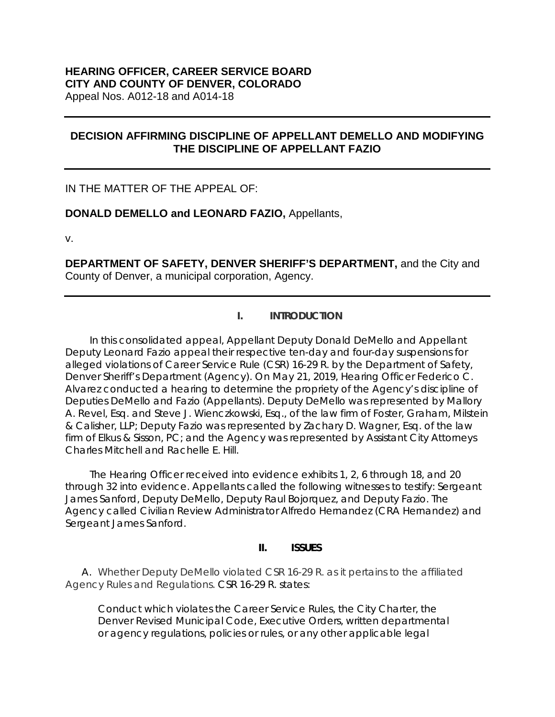# **DECISION AFFIRMING DISCIPLINE OF APPELLANT DEMELLO AND MODIFYING THE DISCIPLINE OF APPELLANT FAZIO**

IN THE MATTER OF THE APPEAL OF:

**DONALD DEMELLO and LEONARD FAZIO,** Appellants,

v.

**DEPARTMENT OF SAFETY, DENVER SHERIFF'S DEPARTMENT,** and the City and County of Denver, a municipal corporation, Agency.

# **I. INTRODUCTION**

In this consolidated appeal, Appellant Deputy Donald DeMello and Appellant Deputy Leonard Fazio appeal their respective ten-day and four-day suspensions for alleged violations of Career Service Rule (CSR) 16-29 R. by the Department of Safety, Denver Sheriff's Department (Agency). On May 21, 2019, Hearing Officer Federico C. Alvarez conducted a hearing to determine the propriety of the Agency's discipline of Deputies DeMello and Fazio (Appellants). Deputy DeMello was represented by Mallory A. Revel, Esq. and Steve J. Wienczkowski, Esq., of the law firm of Foster, Graham, Milstein & Calisher, LLP; Deputy Fazio was represented by Zachary D. Wagner, Esq. of the law firm of Elkus & Sisson, PC; and the Agency was represented by Assistant City Attorneys Charles Mitchell and Rachelle E. Hill.

The Hearing Officer received into evidence exhibits 1, 2, 6 through 18, and 20 through 32 into evidence. Appellants called the following witnesses to testify: Sergeant James Sanford, Deputy DeMello, Deputy Raul Bojorquez, and Deputy Fazio. The Agency called Civilian Review Administrator Alfredo Hernandez (CRA Hernandez) and Sergeant James Sanford.

# **II. ISSUES**

A. Whether Deputy DeMello violated CSR 16-29 R. as it pertains to the affiliated Agency Rules and Regulations. CSR 16-29 R. states:

Conduct which violates the Career Service Rules, the City Charter, the Denver Revised Municipal Code, Executive Orders, written departmental or agency regulations, policies or rules, or any other applicable legal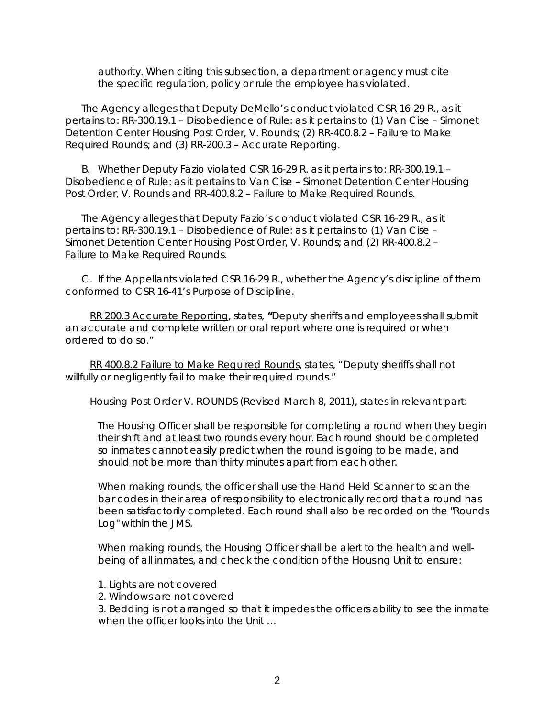authority. When citing this subsection, a department or agency must cite the specific regulation, policy or rule the employee has violated.

The Agency alleges that Deputy DeMello's conduct violated CSR 16-29 R., as it pertains to: RR-300.19.1 – Disobedience of Rule: as it pertains to (1) Van Cise – Simonet Detention Center Housing Post Order, V. Rounds; (2) RR-400.8.2 – Failure to Make Required Rounds; and (3) RR-200.3 – Accurate Reporting.

B. Whether Deputy Fazio violated CSR 16-29 R. as it pertains to: RR-300.19.1 – Disobedience of Rule: as it pertains to Van Cise – Simonet Detention Center Housing Post Order, V. Rounds and RR-400.8.2 – Failure to Make Required Rounds.

The Agency alleges that Deputy Fazio's conduct violated CSR 16-29 R., as it pertains to: RR-300.19.1 – Disobedience of Rule: as it pertains to (1) Van Cise – Simonet Detention Center Housing Post Order, V. Rounds; and (2) RR-400.8.2 – Failure to Make Required Rounds.

C. If the Appellants violated CSR 16-29 R., whether the Agency's discipline of them conformed to CSR 16-41's Purpose of Discipline.

RR 200.3 Accurate Reporting, states, **"**Deputy sheriffs and employees shall submit an accurate and complete written or oral report where one is required or when ordered to do so."

RR 400.8.2 Failure to Make Required Rounds, states, "Deputy sheriffs shall not willfully or negligently fail to make their required rounds."

Housing Post Order V. ROUNDS (Revised March 8, 2011), states in relevant part:

The Housing Officer shall be responsible for completing a round when they begin their shift and at least two rounds every hour. Each round should be completed so inmates cannot easily predict when the round is going to be made, and should not be more than thirty minutes apart from each other.

When making rounds, the officer shall use the Hand Held Scanner to scan the bar codes in their area of responsibility to electronically record that a round has been satisfactorily completed. Each round shall also be recorded on the "Rounds Log" within the JMS.

When making rounds, the Housing Officer shall be alert to the health and wellbeing of all inmates, and check the condition of the Housing Unit to ensure:

- 1. Lights are not covered
- 2. Windows are not covered

3. Bedding is not arranged so that it impedes the officers ability to see the inmate when the officer looks into the Unit …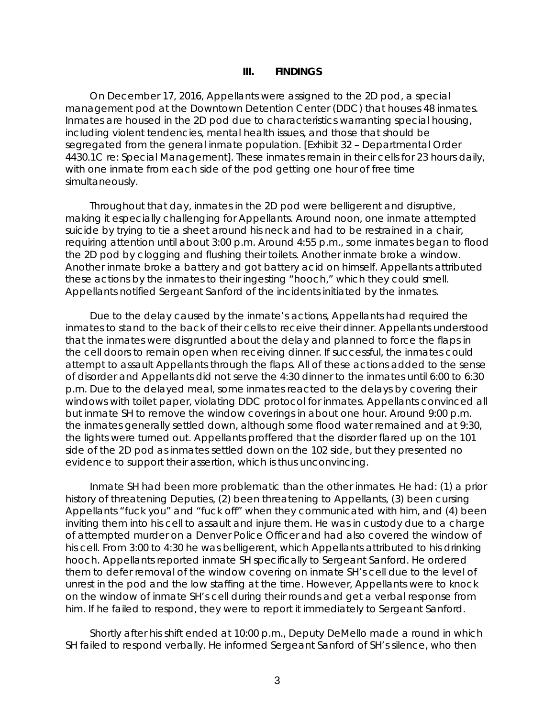#### **III. FINDINGS**

On December 17, 2016, Appellants were assigned to the 2D pod, a special management pod at the Downtown Detention Center (DDC) that houses 48 inmates. Inmates are housed in the 2D pod due to characteristics warranting special housing, including violent tendencies, mental health issues, and those that should be segregated from the general inmate population. [Exhibit 32 – Departmental Order 4430.1C re: Special Management]. These inmates remain in their cells for 23 hours daily, with one inmate from each side of the pod getting one hour of free time simultaneously.

Throughout that day, inmates in the 2D pod were belligerent and disruptive, making it especially challenging for Appellants. Around noon, one inmate attempted suicide by trying to tie a sheet around his neck and had to be restrained in a chair, requiring attention until about 3:00 p.m. Around 4:55 p.m., some inmates began to flood the 2D pod by clogging and flushing their toilets. Another inmate broke a window. Another inmate broke a battery and got battery acid on himself. Appellants attributed these actions by the inmates to their ingesting "hooch," which they could smell. Appellants notified Sergeant Sanford of the incidents initiated by the inmates.

Due to the delay caused by the inmate's actions, Appellants had required the inmates to stand to the back of their cells to receive their dinner. Appellants understood that the inmates were disgruntled about the delay and planned to force the flaps in the cell doors to remain open when receiving dinner. If successful, the inmates could attempt to assault Appellants through the flaps. All of these actions added to the sense of disorder and Appellants did not serve the 4:30 dinner to the inmates until 6:00 to 6:30 p.m. Due to the delayed meal, some inmates reacted to the delays by covering their windows with toilet paper, violating DDC protocol for inmates. Appellants convinced all but inmate SH to remove the window coverings in about one hour. Around 9:00 p.m. the inmates generally settled down, although some flood water remained and at 9:30, the lights were turned out. Appellants proffered that the disorder flared up on the 101 side of the 2D pod as inmates settled down on the 102 side, but they presented no evidence to support their assertion, which is thus unconvincing.

Inmate SH had been more problematic than the other inmates. He had: (1) a prior history of threatening Deputies, (2) been threatening to Appellants, (3) been cursing Appellants "fuck you" and "fuck off" when they communicated with him, and (4) been inviting them into his cell to assault and injure them. He was in custody due to a charge of attempted murder on a Denver Police Officer and had also covered the window of his cell. From 3:00 to 4:30 he was belligerent, which Appellants attributed to his drinking hooch. Appellants reported inmate SH specifically to Sergeant Sanford. He ordered them to defer removal of the window covering on inmate SH's cell due to the level of unrest in the pod and the low staffing at the time. However, Appellants were to knock on the window of inmate SH's cell during their rounds and get a verbal response from him. If he failed to respond, they were to report it immediately to Sergeant Sanford.

Shortly after his shift ended at 10:00 p.m., Deputy DeMello made a round in which SH failed to respond verbally. He informed Sergeant Sanford of SH's silence, who then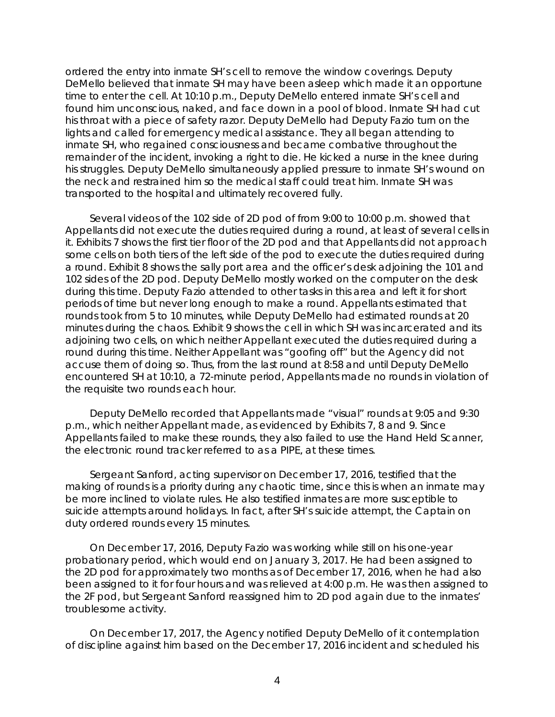ordered the entry into inmate SH's cell to remove the window coverings. Deputy DeMello believed that inmate SH may have been asleep which made it an opportune time to enter the cell. At 10:10 p.m., Deputy DeMello entered inmate SH's cell and found him unconscious, naked, and face down in a pool of blood. Inmate SH had cut his throat with a piece of safety razor. Deputy DeMello had Deputy Fazio turn on the lights and called for emergency medical assistance. They all began attending to inmate SH, who regained consciousness and became combative throughout the remainder of the incident, invoking a right to die. He kicked a nurse in the knee during his struggles. Deputy DeMello simultaneously applied pressure to inmate SH's wound on the neck and restrained him so the medical staff could treat him. Inmate SH was transported to the hospital and ultimately recovered fully.

Several videos of the 102 side of 2D pod of from 9:00 to 10:00 p.m. showed that Appellants did not execute the duties required during a round, at least of several cells in it. Exhibits 7 shows the first tier floor of the 2D pod and that Appellants did not approach some cells on both tiers of the left side of the pod to execute the duties required during a round. Exhibit 8 shows the sally port area and the officer's desk adjoining the 101 and 102 sides of the 2D pod. Deputy DeMello mostly worked on the computer on the desk during this time. Deputy Fazio attended to other tasks in this area and left it for short periods of time but never long enough to make a round. Appellants estimated that rounds took from 5 to 10 minutes, while Deputy DeMello had estimated rounds at 20 minutes during the chaos. Exhibit 9 shows the cell in which SH was incarcerated and its adjoining two cells, on which neither Appellant executed the duties required during a round during this time. Neither Appellant was "goofing off" but the Agency did not accuse them of doing so. Thus, from the last round at 8:58 and until Deputy DeMello encountered SH at 10:10, a 72-minute period, Appellants made no rounds in violation of the requisite two rounds each hour.

Deputy DeMello recorded that Appellants made "visual" rounds at 9:05 and 9:30 p.m., which neither Appellant made, as evidenced by Exhibits 7, 8 and 9. Since Appellants failed to make these rounds, they also failed to use the Hand Held Scanner, the electronic round tracker referred to as a PIPE, at these times.

Sergeant Sanford, acting supervisor on December 17, 2016, testified that the making of rounds is a priority during any chaotic time, since this is when an inmate may be more inclined to violate rules. He also testified inmates are more susceptible to suicide attempts around holidays. In fact, after SH's suicide attempt, the Captain on duty ordered rounds every 15 minutes.

On December 17, 2016, Deputy Fazio was working while still on his one-year probationary period, which would end on January 3, 2017. He had been assigned to the 2D pod for approximately two months as of December 17, 2016, when he had also been assigned to it for four hours and was relieved at 4:00 p.m. He was then assigned to the 2F pod, but Sergeant Sanford reassigned him to 2D pod again due to the inmates' troublesome activity.

On December 17, 2017, the Agency notified Deputy DeMello of it contemplation of discipline against him based on the December 17, 2016 incident and scheduled his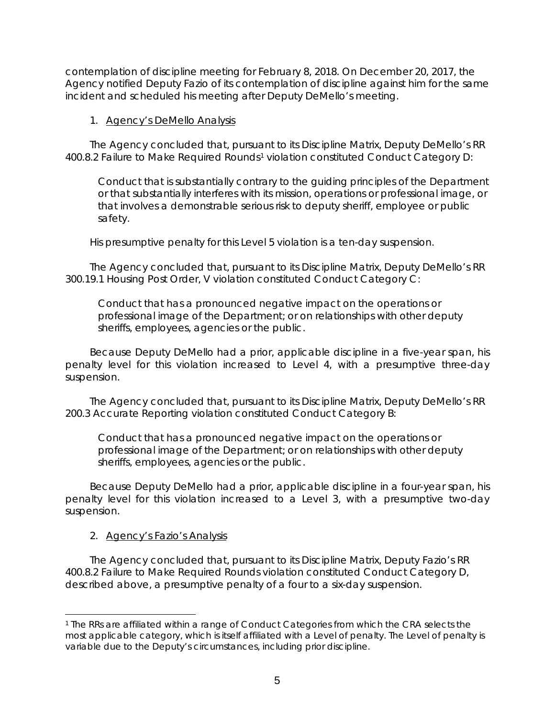contemplation of discipline meeting for February 8, 2018. On December 20, 2017, the Agency notified Deputy Fazio of its contemplation of discipline against him for the same incident and scheduled his meeting after Deputy DeMello's meeting.

### 1. Agency's DeMello Analysis

The Agency concluded that, pursuant to its Discipline Matrix, Deputy DeMello's RR 400.8.2 Failure to Make Required Rounds<sup>[1](#page-4-0)</sup> violation constituted Conduct Category D:

Conduct that is substantially contrary to the guiding principles of the Department or that substantially interferes with its mission, operations or professional image, or that involves a demonstrable serious risk to deputy sheriff, employee or public safety.

His presumptive penalty for this Level 5 violation is a ten-day suspension.

The Agency concluded that, pursuant to its Discipline Matrix, Deputy DeMello's RR 300.19.1 Housing Post Order, V violation constituted Conduct Category C:

Conduct that has a pronounced negative impact on the operations or professional image of the Department; or on relationships with other deputy sheriffs, employees, agencies or the public.

Because Deputy DeMello had a prior, applicable discipline in a five-year span, his penalty level for this violation increased to Level 4, with a presumptive three-day suspension.

The Agency concluded that, pursuant to its Discipline Matrix, Deputy DeMello's RR 200.3 Accurate Reporting violation constituted Conduct Category B:

Conduct that has a pronounced negative impact on the operations or professional image of the Department; or on relationships with other deputy sheriffs, employees, agencies or the public.

Because Deputy DeMello had a prior, applicable discipline in a four-year span, his penalty level for this violation increased to a Level 3, with a presumptive two-day suspension.

# 2. Agency's Fazio's Analysis

The Agency concluded that, pursuant to its Discipline Matrix, Deputy Fazio's RR 400.8.2 Failure to Make Required Rounds violation constituted Conduct Category D, described above, a presumptive penalty of a four to a six-day suspension.

<span id="page-4-0"></span> $\overline{a}$ <sup>1</sup> The RRs are affiliated within a range of Conduct Categories from which the CRA selects the most applicable category, which is itself affiliated with a Level of penalty. The Level of penalty is variable due to the Deputy's circumstances, including prior discipline.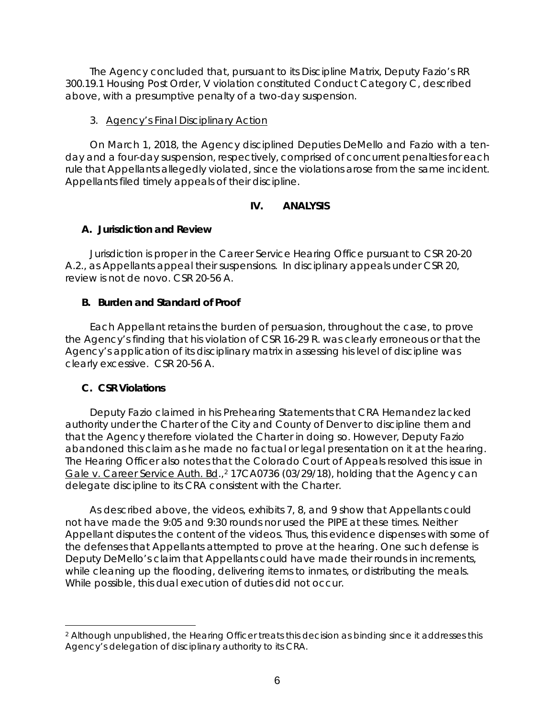The Agency concluded that, pursuant to its Discipline Matrix, Deputy Fazio's RR 300.19.1 Housing Post Order, V violation constituted Conduct Category C, described above, with a presumptive penalty of a two-day suspension.

#### 3. Agency's Final Disciplinary Action

On March 1, 2018, the Agency disciplined Deputies DeMello and Fazio with a tenday and a four-day suspension, respectively, comprised of concurrent penalties for each rule that Appellants allegedly violated, since the violations arose from the same incident. Appellants filed timely appeals of their discipline.

# **IV. ANALYSIS**

# **A. Jurisdiction and Review**

Jurisdiction is proper in the Career Service Hearing Office pursuant to CSR 20-20 A.2., as Appellants appeal their suspensions. In disciplinary appeals under CSR 20, review is not *de novo*. CSR 20-56 A.

# **B. Burden and Standard of Proof**

Each Appellant retains the burden of persuasion, throughout the case, to prove the Agency's finding that his violation of CSR 16-29 R. was clearly erroneous or that the Agency's application of its disciplinary matrix in assessing his level of discipline was clearly excessive. CSR 20-56 A.

# **C. CSR Violations**

 $\overline{a}$ 

Deputy Fazio claimed in his Prehearing Statements that CRA Hernandez lacked authority under the Charter of the City and County of Denver to discipline them and that the Agency therefore violated the Charter in doing so. However, Deputy Fazio abandoned this claim as he made no factual or legal presentation on it at the hearing. The Hearing Officer also notes that the Colorado Court of Appeals resolved this issue in Gale v. Career Service Auth. Bd.,<sup>[2](#page-5-0)</sup> 17CA0736 (03/29/18), holding that the Agency can delegate discipline to its CRA consistent with the Charter.

As described above, the videos, exhibits 7, 8, and 9 show that Appellants could not have made the 9:05 and 9:30 rounds nor used the PIPE at these times. Neither Appellant disputes the content of the videos. Thus, this evidence dispenses with some of the defenses that Appellants attempted to prove at the hearing. One such defense is Deputy DeMello's claim that Appellants could have made their rounds in increments, while cleaning up the flooding, delivering items to inmates, or distributing the meals. While possible, this dual execution of duties did not occur.

<span id="page-5-0"></span><sup>&</sup>lt;sup>2</sup> Although unpublished, the Hearing Officer treats this decision as binding since it addresses this Agency's delegation of disciplinary authority to its CRA.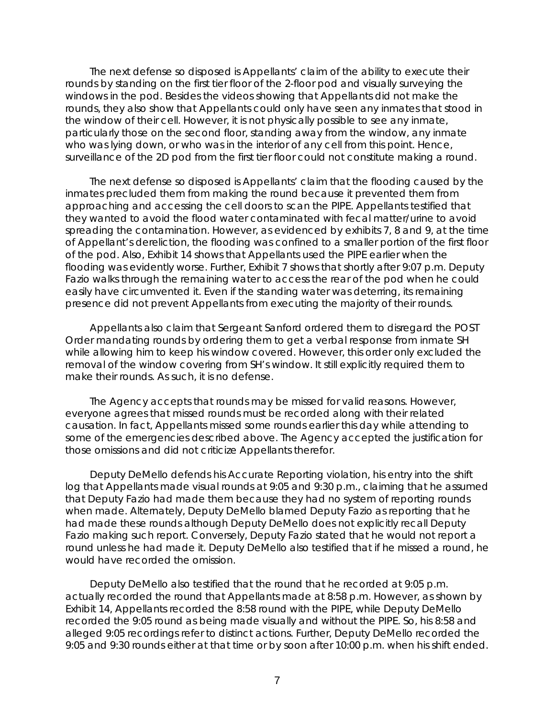The next defense so disposed is Appellants' claim of the ability to execute their rounds by standing on the first tier floor of the 2-floor pod and visually surveying the windows in the pod. Besides the videos showing that Appellants did not make the rounds, they also show that Appellants could only have seen any inmates that stood in the window of their cell. However, it is not physically possible to see any inmate, particularly those on the second floor, standing away from the window, any inmate who was lying down, or who was in the interior of any cell from this point. Hence, surveillance of the 2D pod from the first tier floor could not constitute making a round.

The next defense so disposed is Appellants' claim that the flooding caused by the inmates precluded them from making the round because it prevented them from approaching and accessing the cell doors to scan the PIPE. Appellants testified that they wanted to avoid the flood water contaminated with fecal matter/urine to avoid spreading the contamination. However, as evidenced by exhibits 7, 8 and 9, at the time of Appellant's dereliction, the flooding was confined to a smaller portion of the first floor of the pod. Also, Exhibit 14 shows that Appellants used the PIPE earlier when the flooding was evidently worse. Further, Exhibit 7 shows that shortly after 9:07 p.m. Deputy Fazio walks through the remaining water to access the rear of the pod when he could easily have circumvented it. Even if the standing water was deterring, its remaining presence did not prevent Appellants from executing the majority of their rounds.

Appellants also claim that Sergeant Sanford ordered them to disregard the POST Order mandating rounds by ordering them to get a verbal response from inmate SH while allowing him to keep his window covered. However, this order only excluded the removal of the window covering from SH's window. It still explicitly required them to make their rounds. As such, it is no defense.

The Agency accepts that rounds may be missed for valid reasons. However, everyone agrees that missed rounds must be recorded along with their related causation. In fact, Appellants missed some rounds earlier this day while attending to some of the emergencies described above. The Agency accepted the justification for those omissions and did not criticize Appellants therefor.

Deputy DeMello defends his Accurate Reporting violation, his entry into the shift log that Appellants made visual rounds at 9:05 and 9:30 p.m., claiming that he assumed that Deputy Fazio had made them because they had no system of reporting rounds when made. Alternately, Deputy DeMello blamed Deputy Fazio as reporting that he had made these rounds although Deputy DeMello does not explicitly recall Deputy Fazio making such report. Conversely, Deputy Fazio stated that he would not report a round unless he had made it. Deputy DeMello also testified that if he missed a round, he would have recorded the omission.

Deputy DeMello also testified that the round that he recorded at 9:05 p.m. actually recorded the round that Appellants made at 8:58 p.m. However, as shown by Exhibit 14, Appellants recorded the 8:58 round with the PIPE, while Deputy DeMello recorded the 9:05 round as being made visually and without the PIPE. So, his 8:58 and alleged 9:05 recordings refer to distinct actions. Further, Deputy DeMello recorded the 9:05 and 9:30 rounds either at that time or by soon after 10:00 p.m. when his shift ended.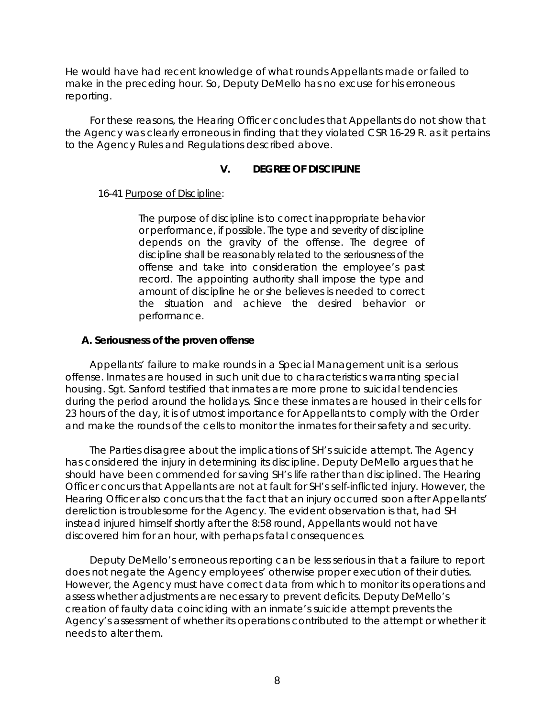He would have had recent knowledge of what rounds Appellants made or failed to make in the preceding hour. So, Deputy DeMello has no excuse for his erroneous reporting.

For these reasons, the Hearing Officer concludes that Appellants do not show that the Agency was clearly erroneous in finding that they violated CSR 16-29 R. as it pertains to the Agency Rules and Regulations described above.

# **V. DEGREE OF DISCIPLINE**

16-41 Purpose of Discipline:

The purpose of discipline is to correct inappropriate behavior or performance, if possible. The type and severity of discipline depends on the gravity of the offense. The degree of discipline shall be reasonably related to the seriousness of the offense and take into consideration the employee's past record. The appointing authority shall impose the type and amount of discipline he or she believes is needed to correct the situation and achieve the desired behavior or performance.

# **A. Seriousness of the proven offense**

Appellants' failure to make rounds in a Special Management unit is a serious offense. Inmates are housed in such unit due to characteristics warranting special housing. Sgt. Sanford testified that inmates are more prone to suicidal tendencies during the period around the holidays. Since these inmates are housed in their cells for 23 hours of the day, it is of utmost importance for Appellants to comply with the Order and make the rounds of the cells to monitor the inmates for their safety and security.

The Parties disagree about the implications of SH's suicide attempt. The Agency has considered the injury in determining its discipline. Deputy DeMello argues that he should have been commended for saving SH's life rather than disciplined. The Hearing Officer concurs that Appellants are not at fault for SH's self-inflicted injury. However, the Hearing Officer also concurs that the fact that an injury occurred soon after Appellants' dereliction is troublesome for the Agency. The evident observation is that, had SH instead injured himself shortly after the 8:58 round, Appellants would not have discovered him for an hour, with perhaps fatal consequences.

Deputy DeMello's erroneous reporting can be less serious in that a failure to report does not negate the Agency employees' otherwise proper execution of their duties. However, the Agency must have correct data from which to monitor its operations and assess whether adjustments are necessary to prevent deficits. Deputy DeMello's creation of faulty data coinciding with an inmate's suicide attempt prevents the Agency's assessment of whether its operations contributed to the attempt or whether it needs to alter them.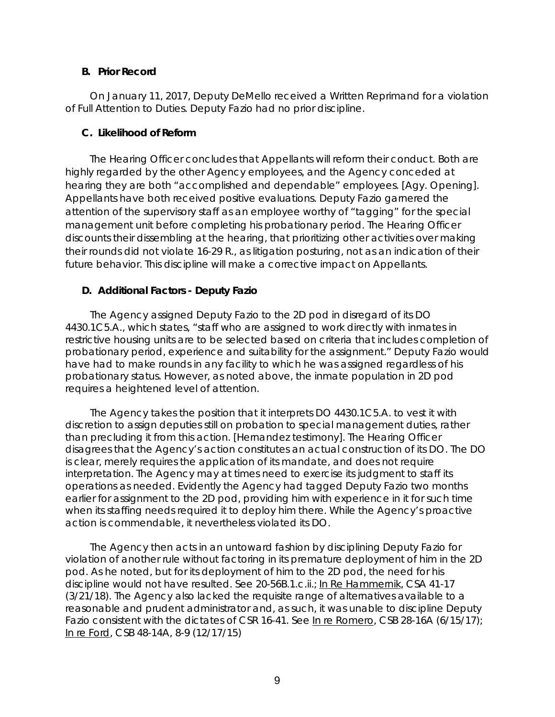#### **B. Prior Record**

On January 11, 2017, Deputy DeMello received a Written Reprimand for a violation of Full Attention to Duties. Deputy Fazio had no prior discipline.

### **C. Likelihood of Reform**

The Hearing Officer concludes that Appellants will reform their conduct. Both are highly regarded by the other Agency employees, and the Agency conceded at hearing they are both "accomplished and dependable" employees. [Agy. Opening]. Appellants have both received positive evaluations. Deputy Fazio garnered the attention of the supervisory staff as an employee worthy of "tagging" for the special management unit before completing his probationary period. The Hearing Officer discounts their dissembling at the hearing, that prioritizing other activities over making their rounds did not violate 16-29 R., as litigation posturing, not as an indication of their future behavior. This discipline will make a corrective impact on Appellants.

# **D. Additional Factors - Deputy Fazio**

The Agency assigned Deputy Fazio to the 2D pod in disregard of its DO 4430.1C5.A., which states, "staff who are assigned to work directly with inmates in restrictive housing units are to be selected based on criteria that includes completion of probationary period, experience and suitability for the assignment." Deputy Fazio would have had to make rounds in any facility to which he was assigned regardless of his probationary status. However, as noted above, the inmate population in 2D pod requires a heightened level of attention.

The Agency takes the position that it interprets DO 4430.1C5.A. to vest it with discretion to assign deputies still on probation to special management duties, rather than precluding it from this action. [Hernandez testimony]. The Hearing Officer disagrees that the Agency's action constitutes an actual construction of its DO. The DO is clear, merely requires the application of its mandate, and does not require interpretation. The Agency may at times need to exercise its judgment to staff its operations as needed. Evidently the Agency had tagged Deputy Fazio two months earlier for assignment to the 2D pod, providing him with experience in it for such time when its staffing needs required it to deploy him there. While the Agency's proactive action is commendable, it nevertheless violated its DO.

The Agency then acts in an untoward fashion by disciplining Deputy Fazio for violation of another rule without factoring in its premature deployment of him in the 2D pod. As he noted, but for its deployment of him to the 2D pod, the need for his discipline would not have resulted. *See* 20-56B.1.c.ii.; In Re Hammernik, CSA 41-17 (3/21/18). The Agency also lacked the requisite range of alternatives available to a reasonable and prudent administrator and, as such, it was unable to discipline Deputy Fazio consistent with the dictates of CSR 16-41. See In re Romero, CSB 28-16A (6/15/17); In re Ford, CSB 48-14A, 8-9 (12/17/15)